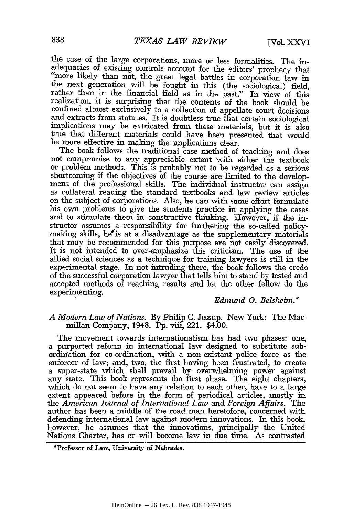the case of the large corporations, more or less formalities. The inadequacies of existing controls account for the editors' prophecy that "more likely than not, the great legal battles in corporation law in the next generation will be fought in this (the sociological) field, rather than in the financial field as in the past." In view of this realization, it is surprising that the contents of the book should be confined almost exclusively to a collection of appellate court decisions and extracts from statutes. It is doubtless true that certain sociological implications may be extricated from these materials, but it is also true that different materials could have been presented that would be more effective in making the implications clear.

The book follows the traditional case method of teaching and does not compromise to any appreciable extent with either the textbook or problem methods. This is probably not to be regarded as a serious shortcoming if the objectives of the course are limited to the development of the professional skills. The individual instructor can assign as collateral reading the standard textbooks and law review articles on the subject of corporations. Also, he can with some effort formulate his own problems to give the students practice in applying the cases and to stimulate them in constructive thinking. However, if the instructor assumes a responsibility for furthering the so-called policymaking skills, he'is at a disadvantage as the supplementary materials that may be recommended for this purpose are not easily discovered. It is not intended to over-emphasize this criticism. The use of the allied social sciences as a technique for training lawyers is still in the experimental stage. In not intruding there, the book follows the credo of the successful corporation lawyer that tells him to stand by tested and accepted methods of reaching results and let the other fellow do the experimenting.

## *Edmund 0. Belsheim.\**

## *A Modern Law of Nations.* By Philip C. Jessup. New York: The Macmillan Company, 1948. Pp. viii, 221. \$4.00.

The movement towards internationalism has had two phases: one, a purported reform in international law designed to substitute subordination for co-ordination, with a non-existant police force as the enforcer of law; and, two, the first having been frustrated, to create a super-state which shall prevail by overwhelming power against any state. This book represents the first phase. The eight chapters, which do not seem to have any relation to each other, have to a large extent appeared before in the form of periodical articles, mostly in the *American Journal of International Law* and *Foreign Affairs.* The author has been a middle of the road man heretofore, concerned with defending international law against modern innovations. In this book, however, he assumes that the innovations, principally the United Nations Charter, has or will become law in due time. As contrasted

<sup>\*</sup>Professor of Law, University of Nebraska.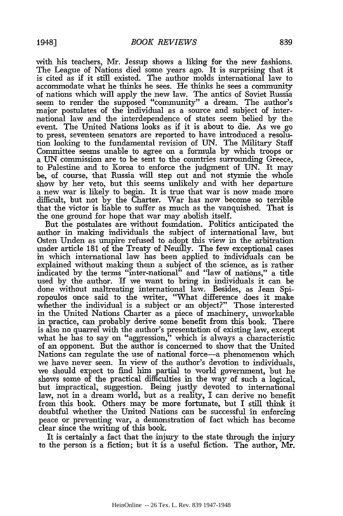with his teachers, Mr. Jessup shows a liking for the new fashions. The League of Nations died some years ago. It is surprising that it is cited as if it still existed. The author molds international law to accommodate what he thinks he sees. He thinks he sees a community of nations which will apply the new law. The antics of Soviet Russia seem to render the supposed "community" a dream. The author's major postulates of the individual as a source and subject of international law and the interdependence of states seem belied by the event. The United Nations looks as if it is about to die. As we go to press, seventeen senators are reported to have introduced a resolution looking to the fundamental revision of UN. The Military Staff Committee seems unable to agree on a formula by which troops or a UN commission are to be sent to the countries surrounding Greece, to Palestine and to Korea to enforce the judgment of UN. It may be, of course, that Russia will step out and not stymie the whole show by her veto, but this seems unlikely and with her departure a new war is likely to begin. It is true that war is now made more difficult, but not by the Charter. War has now become so terrible that the victor is liable to suffer as much as the vanquished. That is the one ground for hope that war may abolish itself.

But the postulates are without foundation. Politics anticipated the author in making individuals the subject of international law, but Osten Unden as umpire refused to adopt this view in the arbitration under article 181 of the Treaty of Neuilly. The few exceptional cases in which international law has been applied to individuals can be explained without making them a subject of the science, as is rather indicated by the terms "inter-national" and "law of nations," a tifle used by the author. If we want to bring in individuals it can be done without maltreating international law. Besides, as Jean Spiropoulos once said to the writer, "What difference does it make whether the individual is a subject or an object?" Those interested in the United Nations Charter as a piece of machinery, unworkable in practice, can probably derive some benefit from this book. There is also no quarrel with the author's presentation of existing law, except what he has to say on "aggression," which is always a characteristic of an opponent. But the author is concerned to show that the United Nations can regulate the use of national force-a phenomenon which we have never seen. In view of the author's devotion to individuals, we should expect to find him partial to world government, but he shows some of the practical difficulties in the way of such a logical, but impractical, suggestion. Being justly devoted to international law, not in a dream world, but as a reality, I can derive no benefit from this book. Others may be more fortunate, but I still think it doubtful whether the United Nations can be successful in enforcing peace or preventing war, a demonstration of fact which has become clear since the writing of this book.

It is certainly a fact that the injury to the state through the injury to the person is a fiction; but it is a useful fiction. The author, Mr.